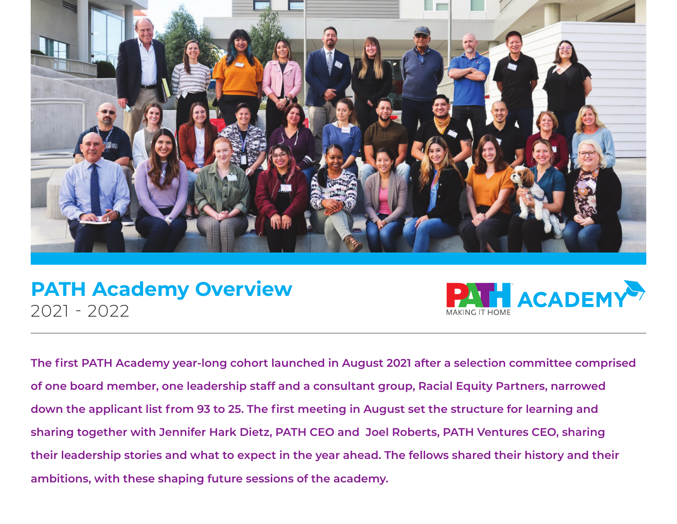

# **PATH Academy Overview** 2021 - 2022



**The first PATH Academy year-long cohort launched in August 2021 after a selection committee comprised of one board member, one leadership staff and a consultant group, Racial Equity Partners, narrowed down the applicant list from 93 to 25. The first meeting in August set the structure for learning and sharing together with Jennifer Hark Dietz, PATH CEO and Joel Roberts, PATH Ventures CEO, sharing their leadership stories and what to expect in the year ahead. The fellows shared their history and their ambitions, with these shaping future sessions of the academy.**